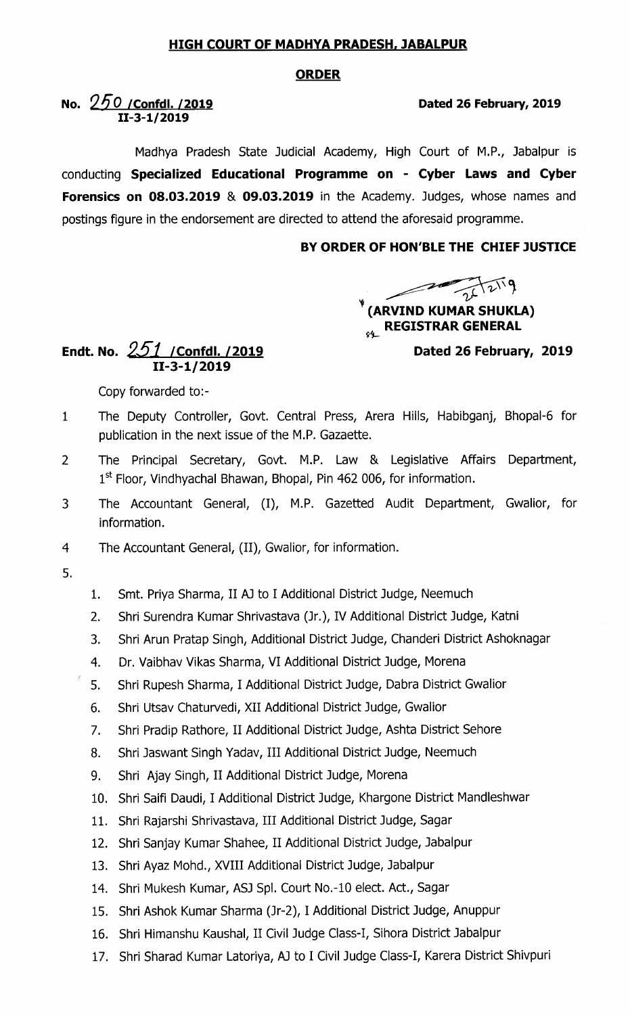## HIGH COURT OF MADHYA PRADESH, JABALPUR

## ORDER

## No.  $250$  / Confdl. /2019 **Dated 26 February, 2019** 11-3-1/2019

Madhya Pradesh State Judicial Academy, High Court of M.P., Jabalpur is conducting Specialized Educational Programme on - Cyber Laws and Cyber Forensics on 08.03.2019 & 09.03.2019 in the Academy. Judges, whose names and postings figure in the endorsement are directed to attend the aforesaid programme.

## BY ORDER 0F HON'BLE THE CHIEF JUSTICE

(ARVIND KUMAR SHUKLA)  $\epsilon_{\mathscr{G}_{\mathcal{F}}}$  REGISTRAR GENERAL

Dated 26 February, 2019

Endt. No.  $251$  /Confdl. /2019 11-3-1/2019

Copy forwarded to:-

- The Deputy Controller, Govt. Central Press, Arera Hills, Habibganj, Bhopal-6 for  $\mathbf{1}$ publication in the next issue of the M.P. Gazaette.
- The Principal Secretary, Govt. M.P. Law & Legislative Affairs Department,  $\overline{2}$  $1<sup>st</sup>$  Floor, Vindhyachal Bhawan, Bhopal, Pin 462 006, for information.
- The Accountant General, (I), M.P. Gazetted Audit Department, Gwalior, for 3 information.
- $\overline{4}$ The Accountant General, (11), Gwalior, for information.
- 5.
- 1. Smt. Priya Sharma, II AJ to I Additional District Judge, Neemuch
- 2. Shri Surendra Kumar Shrivastava (Jr.), IV Additional District Judge, Katni
- 3. Shri Arun pratap singh, Additional District Judge, Chanderi District Ashoknagar
- 4. Dr. Vaibhav vikas sharma, VI Additional District Judge, Morena
- 5. Shri Rupesh sharma, I Additional District Judge, Dabra District Gwalior
- 6. Shri utsav chaturvedi, XII Additional District Judge, Gwalior
- 7. Shri pradip Rathore, II Additional District Judge, Ashta District sehore
- 8. Shri Jaswant singh Yadav, Ill Additional District Judge, Neemuch
- 9. Shri Ajay Singh, II Additional District Judge, Morena
- 10. Shri Saifi Daudi, I Additional District Judge, Khargone District Mandleshwar
- 11. Shri Rajarshi Shrivastava, III Additional District Judge, Sagar
- 12. Shri Sanjay Kumar Shahee, 11 Additional District Judge, Jabalpur
- 13. Shri Ayaz Mohd., XVIII Additional District Judge, Jabalpur
- 14. Shri Mukesh Kumar, ASJ Spl. Court No.-10 elect. Act., Sagar
- 15. Shri Ashok Kumar Sharma (Jr-2), I Additional District Judge, Anuppur
- 16. Shri Himanshu Kaushal, 11 Civil Judge Class-I, Sihora District Jabalpur
- 17. Shri Sharad Kumar Latoriya, AI to I Civil Judge Class-I, Karera District Shivpuri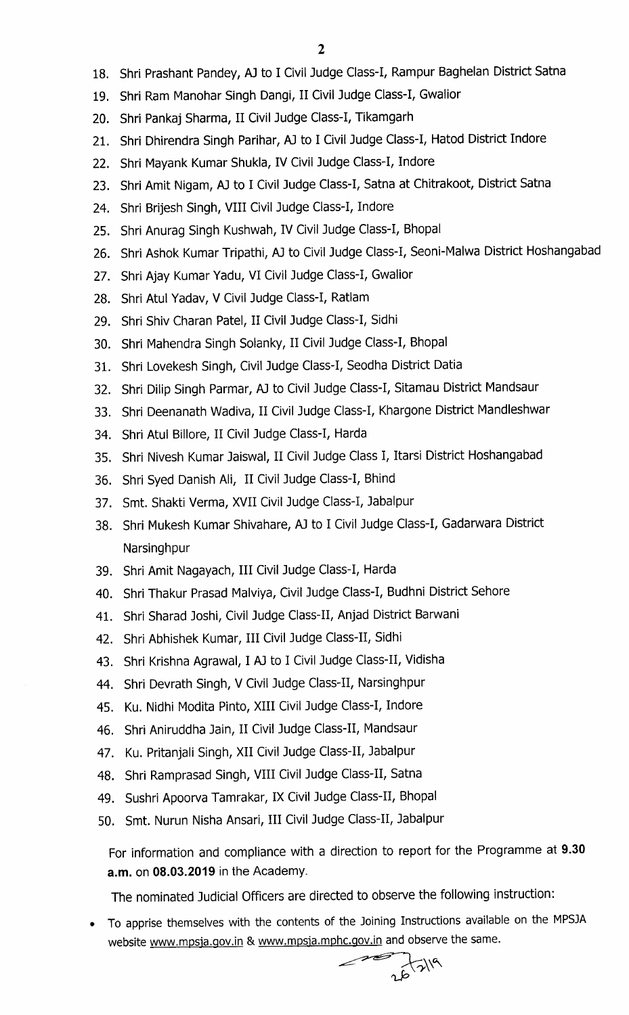- 18. Shri Prashant Pandey, AJ to I Civil Judge class-I, Rampur Baghelan District Satna
- 19. Shri Ram Manohar Singh Dangi, II Civil Judge Class-I, Gwalior
- 20. Shri Pankaj Sharma, 11 Civil Judge Class-I, Tikamgarh
- 21. Shri Dhirendra Singh Parihar, AJ to I Civil Judge Class-I, Hatod District Indore
- 22. Shri Mayank Kumar Shukla, IV Civil Judge Class-I, Indore
- 23. Shri Amit Nigam, AJ to I Civil Judge Class-I, Satna at Chitrakoot, District Satna
- 24. Shri Brijesh Singh, VIII Civil Judge Class-I, Indore
- 25. Shri Anurag Singh Kushwah, IV Civil Judge Class-I, Bhopal
- 26. Shri Ashok Kumar Tripathi, AJ to Civil Judge Class-I, Seoni-Malwa District Hoshangabad
- 27. Shri Ajay Kumar Yadu, VI Civil Judge Class-I, Gwalior
- 28. Shri Atul Yadav, V Civil Judge Class-I, Ratlam
- 29. Shri Shiv Charan Patel, 11 Civil Judge Class-I, Sidhi
- 30. Shri Mahendra Singh Solanky, II Civil Judge Class-I, Bhopal
- 31. Shri Lovekesh Singh, Civil Judge Class-I, Seodha District Datia
- 32. Shri Dilip Singh Parmar, AJ to Civil Judge Class-I, Sitamau District Mandsaur
- 33. Shri Deenanath Wadiva, 11 Civil Judge Class-I, Khargone District Mandleshwar
- 34. Shri Atul Billore, 11 Civil Judge Class-I, Harda
- 35. Shri Nivesh Kumar Jaiswal, 11 Civil Judge Class I, Itarsi District Hoshangabad
- 36. Shri Syed Danish Ali, 11 Civil Judge Class-I, Bhind
- 37. Smt. Shakti Verma, XVII Civil Judge Class-I, Jabalpur
- 38. Shri Mukesh Kumar Shivahare, AJ to I Civil Judge Class-I, Gadarwara District **Narsinghpur**
- 39. Shri Amit Nagayach, Ill Civil Judge Class-I, Harda
- 40. Shri Thakur Prasad Malviya, Civil Judge Class-I, Budhni District Sehore
- 41. Shri Sharad Joshi, Civil Judge Class-II, Anjad District Barwani
- 42. Shri Abhishek Kumar, Ill Civil Judge Class-II, Sidhi
- 43. Shri Krishna Agrawal, I AJ to I Civil Judge Class-II, Vidisha
- 44. Shri Devrath Singh, V Civil Judge Class-II, Narsinghpur
- 45. Ku. Nidhi Modita Pinto, XIII Civil Judge Class-I, Indore
- 46. Shri Aniruddha Jain, 11 Civil Judge Class-II, Mandsaur
- 47. Ku. Pritanjali Singh, XII Civil Judge Class-II, Jabalpur
- 48. Shri Ramprasad Singh, VIII Civil Judge Class-II, Satna
- 49. Sushri Apoorva Tamrakar, IX Civil Judge Class-II, Bhopal
- 50. Smt. Nurun Nisha Ansari, Ill Civil Judge Class-II, Jabalpur

For information and compliance with a direction to report for the Programme at 9.30 a.m. on 08.03.2019 in the Academy.

The nominated Judicial Officers are directed to observe the following instruction:

• To apprise themselves with the contents of the Joining Instructions available on the MPSJA website www.mpsja.gov.in & www.mpsja.mphc.gov.in and observe the same.<br> $\bigcup_{\alpha} \bigwedge_{\alpha} \bigwedge^{\alpha}$